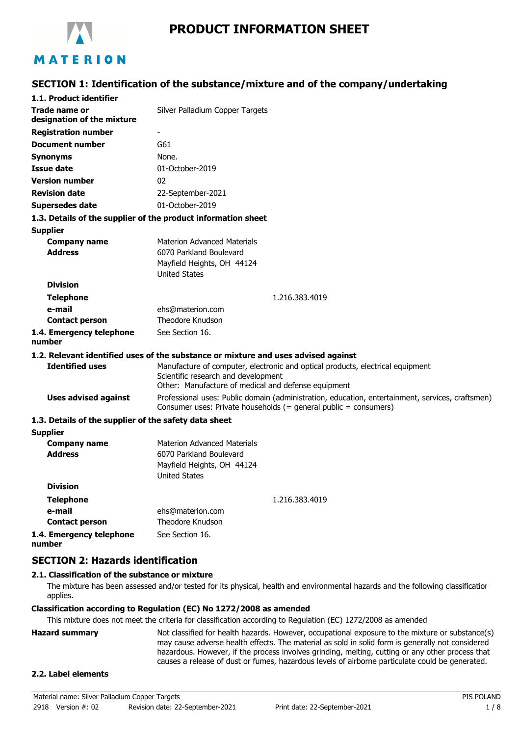

# **PRODUCT INFORMATION SHEET**

# **SECTION 1: Identification of the substance/mixture and of the company/undertaking**

| 1.1. Product identifier                               |                                                                                                                                                                              |  |
|-------------------------------------------------------|------------------------------------------------------------------------------------------------------------------------------------------------------------------------------|--|
| Trade name or<br>designation of the mixture           | Silver Palladium Copper Targets                                                                                                                                              |  |
| <b>Registration number</b>                            |                                                                                                                                                                              |  |
| <b>Document number</b>                                | G61                                                                                                                                                                          |  |
| <b>Synonyms</b>                                       | None.                                                                                                                                                                        |  |
| <b>Issue date</b>                                     | 01-October-2019                                                                                                                                                              |  |
| <b>Version number</b>                                 | 02                                                                                                                                                                           |  |
| <b>Revision date</b>                                  | 22-September-2021                                                                                                                                                            |  |
| Supersedes date                                       | 01-October-2019                                                                                                                                                              |  |
|                                                       | 1.3. Details of the supplier of the product information sheet                                                                                                                |  |
| <b>Supplier</b>                                       |                                                                                                                                                                              |  |
| <b>Company name</b>                                   | <b>Materion Advanced Materials</b>                                                                                                                                           |  |
| <b>Address</b>                                        | 6070 Parkland Boulevard                                                                                                                                                      |  |
|                                                       | Mayfield Heights, OH 44124                                                                                                                                                   |  |
| <b>Division</b>                                       | <b>United States</b>                                                                                                                                                         |  |
|                                                       |                                                                                                                                                                              |  |
| <b>Telephone</b><br>e-mail                            | 1.216.383.4019<br>ehs@materion.com                                                                                                                                           |  |
| <b>Contact person</b>                                 | Theodore Knudson                                                                                                                                                             |  |
| 1.4. Emergency telephone<br>number                    | See Section 16.                                                                                                                                                              |  |
|                                                       | 1.2. Relevant identified uses of the substance or mixture and uses advised against                                                                                           |  |
| <b>Identified uses</b>                                | Manufacture of computer, electronic and optical products, electrical equipment<br>Scientific research and development<br>Other: Manufacture of medical and defense equipment |  |
| <b>Uses advised against</b>                           | Professional uses: Public domain (administration, education, entertainment, services, craftsmen)<br>Consumer uses: Private households (= general public = consumers)         |  |
| 1.3. Details of the supplier of the safety data sheet |                                                                                                                                                                              |  |
| <b>Supplier</b>                                       |                                                                                                                                                                              |  |
| <b>Company name</b><br><b>Address</b>                 | <b>Materion Advanced Materials</b><br>6070 Parkland Boulevard<br>Mayfield Heights, OH 44124                                                                                  |  |
|                                                       | <b>United States</b>                                                                                                                                                         |  |
| <b>Division</b>                                       |                                                                                                                                                                              |  |
| <b>Telephone</b>                                      | 1.216.383.4019                                                                                                                                                               |  |
| e-mail                                                | ehs@materion.com                                                                                                                                                             |  |
| <b>Contact person</b>                                 | Theodore Knudson                                                                                                                                                             |  |
| 1.4. Emergency telephone                              | See Section 16.                                                                                                                                                              |  |

**number**

# **SECTION 2: Hazards identification**

## **2.1. Classification of the substance or mixture**

The mixture has been assessed and/or tested for its physical, health and environmental hazards and the following classification applies.

#### **Classification according to Regulation (EC) No 1272/2008 as amended**

This mixture does not meet the criteria for classification according to Regulation (EC) 1272/2008 as amended.

**Hazard summary** Not classified for health hazards. However, occupational exposure to the mixture or substance(s) may cause adverse health effects. The material as sold in solid form is generally not considered hazardous. However, if the process involves grinding, melting, cutting or any other process that causes a release of dust or fumes, hazardous levels of airborne particulate could be generated.

#### **2.2. Label elements**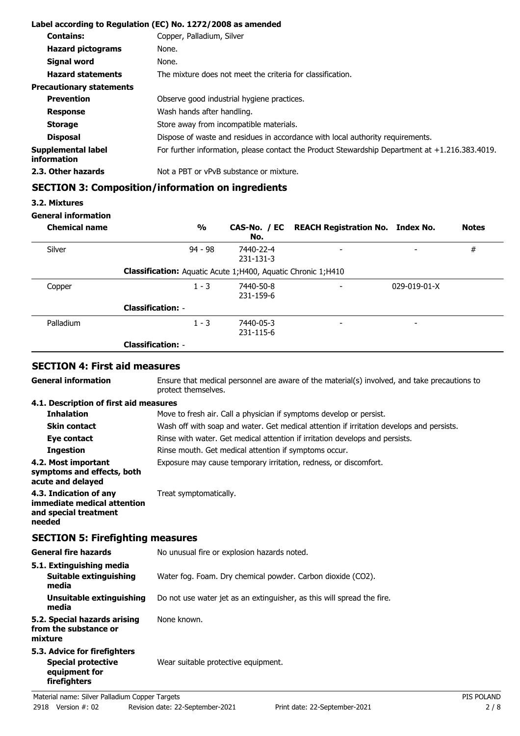|                                   | Label according to Regulation (EC) No. 1272/2008 as amended                                       |
|-----------------------------------|---------------------------------------------------------------------------------------------------|
| <b>Contains:</b>                  | Copper, Palladium, Silver                                                                         |
| <b>Hazard pictograms</b>          | None.                                                                                             |
| Signal word                       | None.                                                                                             |
| <b>Hazard statements</b>          | The mixture does not meet the criteria for classification.                                        |
| <b>Precautionary statements</b>   |                                                                                                   |
| <b>Prevention</b>                 | Observe good industrial hygiene practices.                                                        |
| <b>Response</b>                   | Wash hands after handling.                                                                        |
| <b>Storage</b>                    | Store away from incompatible materials.                                                           |
| <b>Disposal</b>                   | Dispose of waste and residues in accordance with local authority requirements.                    |
| Supplemental label<br>information | For further information, please contact the Product Stewardship Department at $+1.216.383.4019$ . |
| 2.3. Other hazards                | Not a PBT or vPvB substance or mixture.                                                           |

# **SECTION 3: Composition/information on ingredients**

# **3.2. Mixtures**

# **General information**

| <b>Chemical name</b> | $\frac{1}{2}$                                                  | No.                    | CAS-No. / EC REACH Registration No. Index No. |                          | <b>Notes</b> |
|----------------------|----------------------------------------------------------------|------------------------|-----------------------------------------------|--------------------------|--------------|
| Silver               | $94 - 98$                                                      | 7440-22-4<br>231-131-3 | $\overline{\phantom{0}}$                      | -                        | #            |
|                      | Classification: Aquatic Acute 1; H400, Aquatic Chronic 1; H410 |                        |                                               |                          |              |
| Copper               | $1 - 3$                                                        | 7440-50-8<br>231-159-6 | $\overline{\phantom{0}}$                      | $029 - 019 - 01 - X$     |              |
|                      | <b>Classification: -</b>                                       |                        |                                               |                          |              |
| Palladium            | $1 - 3$                                                        | 7440-05-3<br>231-115-6 | $\overline{\phantom{a}}$                      | $\overline{\phantom{0}}$ |              |
|                      | <b>Classification: -</b>                                       |                        |                                               |                          |              |

# **SECTION 4: First aid measures**

| <b>General information</b>                                                               | Ensure that medical personnel are aware of the material(s) involved, and take precautions to<br>protect themselves. |            |  |
|------------------------------------------------------------------------------------------|---------------------------------------------------------------------------------------------------------------------|------------|--|
| 4.1. Description of first aid measures                                                   |                                                                                                                     |            |  |
| <b>Inhalation</b>                                                                        | Move to fresh air. Call a physician if symptoms develop or persist.                                                 |            |  |
| <b>Skin contact</b>                                                                      | Wash off with soap and water. Get medical attention if irritation develops and persists.                            |            |  |
| Eye contact                                                                              | Rinse with water. Get medical attention if irritation develops and persists.                                        |            |  |
| <b>Ingestion</b>                                                                         | Rinse mouth. Get medical attention if symptoms occur.                                                               |            |  |
| 4.2. Most important<br>symptoms and effects, both<br>acute and delayed                   | Exposure may cause temporary irritation, redness, or discomfort.                                                    |            |  |
| 4.3. Indication of any<br>immediate medical attention<br>and special treatment<br>needed | Treat symptomatically.                                                                                              |            |  |
| <b>SECTION 5: Firefighting measures</b>                                                  |                                                                                                                     |            |  |
| <b>General fire hazards</b>                                                              | No unusual fire or explosion hazards noted.                                                                         |            |  |
| 5.1. Extinguishing media<br><b>Suitable extinguishing</b><br>media                       | Water fog. Foam. Dry chemical powder. Carbon dioxide (CO2).                                                         |            |  |
| Unsuitable extinguishing<br>media                                                        | Do not use water jet as an extinguisher, as this will spread the fire.                                              |            |  |
| 5.2. Special hazards arising<br>from the substance or<br>mixture                         | None known.                                                                                                         |            |  |
| 5.3. Advice for firefighters                                                             |                                                                                                                     |            |  |
| <b>Special protective</b><br>equipment for<br>firefighters                               | Wear suitable protective equipment.                                                                                 |            |  |
| Material name: Silver Palladium Copper Targets                                           |                                                                                                                     | PIS POLAND |  |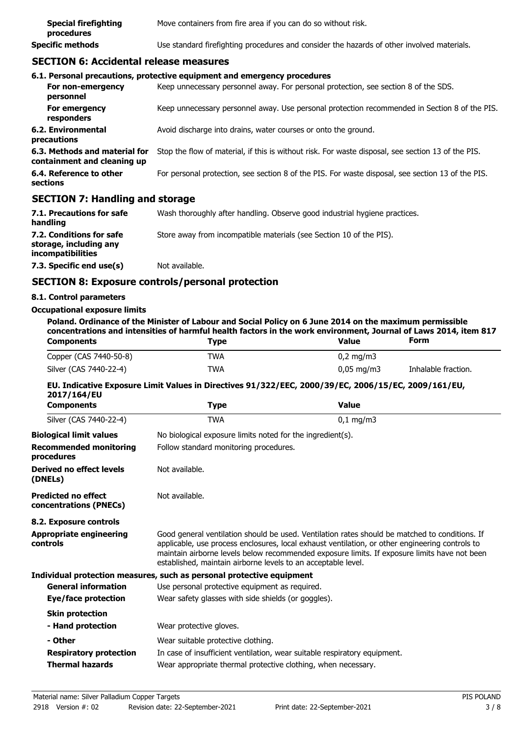| <b>Special firefighting</b><br>procedures | Move containers from fire area if you can do so without risk.                              |
|-------------------------------------------|--------------------------------------------------------------------------------------------|
| Specific methods                          | Use standard firefighting procedures and consider the hazards of other involved materials. |

## **SECTION 6: Accidental release measures**

|                                                              | 6.1. Personal precautions, protective equipment and emergency procedures                           |
|--------------------------------------------------------------|----------------------------------------------------------------------------------------------------|
| For non-emergency<br>personnel                               | Keep unnecessary personnel away. For personal protection, see section 8 of the SDS.                |
| For emergency<br>responders                                  | Keep unnecessary personnel away. Use personal protection recommended in Section 8 of the PIS.      |
| 6.2. Environmental<br>precautions                            | Avoid discharge into drains, water courses or onto the ground.                                     |
| 6.3. Methods and material for<br>containment and cleaning up | Stop the flow of material, if this is without risk. For waste disposal, see section 13 of the PIS. |
| 6.4. Reference to other<br>sections                          | For personal protection, see section 8 of the PIS. For waste disposal, see section 13 of the PIS.  |
| --------                                                     |                                                                                                    |

## **SECTION 7: Handling and storage**

| 7.1. Precautions for safe<br>handling                                   | Wash thoroughly after handling. Observe good industrial hygiene practices. |
|-------------------------------------------------------------------------|----------------------------------------------------------------------------|
| 7.2. Conditions for safe<br>storage, including any<br>incompatibilities | Store away from incompatible materials (see Section 10 of the PIS).        |
| 7.3. Specific end use(s)                                                | Not available.                                                             |

# **SECTION 8: Exposure controls/personal protection**

#### **8.1. Control parameters**

#### **Occupational exposure limits**

**Poland. Ordinance of the Minister of Labour and Social Policy on 6 June 2014 on the maximum permissible concentrations and intensities of harmful health factors in the work environment, Journal of Laws 2014, item 817**<br>Components Type Form Publism of Laws 2014, item 817 **Components Components Fype Formal Value** 

| Copper (CAS 7440-50-8) | TWA | $0,2 \text{ mg/m}$       |                     |
|------------------------|-----|--------------------------|---------------------|
| Silver (CAS 7440-22-4) | TWA | $0.05 \,\mathrm{mq/m}$ 3 | Inhalable fraction. |

## **EU. Indicative Exposure Limit Values in Directives 91/322/EEC, 2000/39/EC, 2006/15/EC, 2009/161/EU, 2017/164/EU**

| <b>Components</b>                                    | <b>Type</b>                                                                                                                                                                                                                                                                                                                                                        | <b>Value</b>                           |  |  |
|------------------------------------------------------|--------------------------------------------------------------------------------------------------------------------------------------------------------------------------------------------------------------------------------------------------------------------------------------------------------------------------------------------------------------------|----------------------------------------|--|--|
| Silver (CAS 7440-22-4)                               | <b>TWA</b>                                                                                                                                                                                                                                                                                                                                                         | $0,1$ mg/m3                            |  |  |
| <b>Biological limit values</b>                       | No biological exposure limits noted for the ingredient(s).                                                                                                                                                                                                                                                                                                         |                                        |  |  |
| <b>Recommended monitoring</b><br>procedures          |                                                                                                                                                                                                                                                                                                                                                                    | Follow standard monitoring procedures. |  |  |
| <b>Derived no effect levels</b><br>(DNELs)           | Not available.                                                                                                                                                                                                                                                                                                                                                     |                                        |  |  |
| <b>Predicted no effect</b><br>concentrations (PNECs) | Not available.                                                                                                                                                                                                                                                                                                                                                     |                                        |  |  |
| 8.2. Exposure controls                               |                                                                                                                                                                                                                                                                                                                                                                    |                                        |  |  |
| <b>Appropriate engineering</b><br><b>controls</b>    | Good general ventilation should be used. Ventilation rates should be matched to conditions. If<br>applicable, use process enclosures, local exhaust ventilation, or other engineering controls to<br>maintain airborne levels below recommended exposure limits. If exposure limits have not been<br>established, maintain airborne levels to an acceptable level. |                                        |  |  |
|                                                      | Individual protection measures, such as personal protective equipment                                                                                                                                                                                                                                                                                              |                                        |  |  |
| <b>General information</b>                           | Use personal protective equipment as required.                                                                                                                                                                                                                                                                                                                     |                                        |  |  |
| Eye/face protection                                  | Wear safety glasses with side shields (or goggles).                                                                                                                                                                                                                                                                                                                |                                        |  |  |
| <b>Skin protection</b>                               |                                                                                                                                                                                                                                                                                                                                                                    |                                        |  |  |
| - Hand protection                                    | Wear protective gloves.                                                                                                                                                                                                                                                                                                                                            |                                        |  |  |
| - Other                                              | Wear suitable protective clothing.                                                                                                                                                                                                                                                                                                                                 |                                        |  |  |
| <b>Respiratory protection</b>                        | In case of insufficient ventilation, wear suitable respiratory equipment.                                                                                                                                                                                                                                                                                          |                                        |  |  |
| <b>Thermal hazards</b>                               | Wear appropriate thermal protective clothing, when necessary.                                                                                                                                                                                                                                                                                                      |                                        |  |  |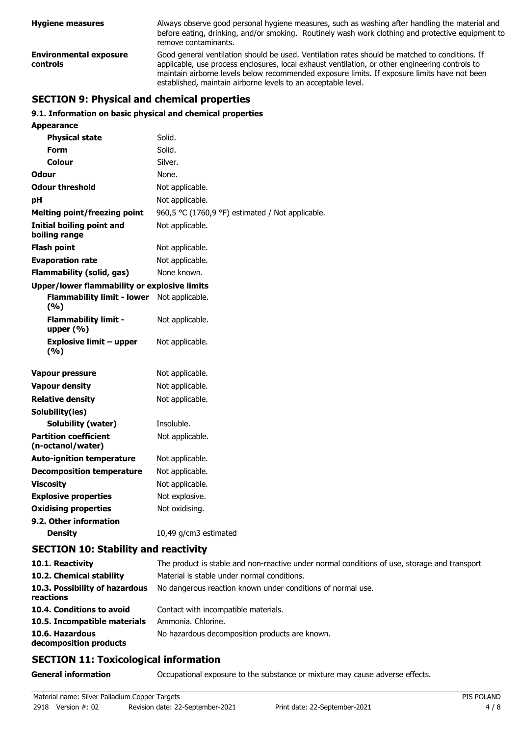| <b>Hygiene measures</b>                   | Always observe good personal hygiene measures, such as washing after handling the material and<br>before eating, drinking, and/or smoking. Routinely wash work clothing and protective equipment to<br>remove contaminants.                                                                                                                                        |  |
|-------------------------------------------|--------------------------------------------------------------------------------------------------------------------------------------------------------------------------------------------------------------------------------------------------------------------------------------------------------------------------------------------------------------------|--|
| <b>Environmental exposure</b><br>controls | Good general ventilation should be used. Ventilation rates should be matched to conditions. If<br>applicable, use process enclosures, local exhaust ventilation, or other engineering controls to<br>maintain airborne levels below recommended exposure limits. If exposure limits have not been<br>established, maintain airborne levels to an acceptable level. |  |

# **SECTION 9: Physical and chemical properties**

#### **9.1. Information on basic physical and chemical properties**

| <b>Appearance</b>                                 |                                                  |
|---------------------------------------------------|--------------------------------------------------|
| <b>Physical state</b>                             | Solid.                                           |
| <b>Form</b>                                       | Solid.                                           |
| Colour                                            | Silver.                                          |
| Odour                                             | None.                                            |
| <b>Odour threshold</b>                            | Not applicable.                                  |
| pH                                                | Not applicable.                                  |
| <b>Melting point/freezing point</b>               | 960,5 °C (1760,9 °F) estimated / Not applicable. |
| <b>Initial boiling point and</b><br>boiling range | Not applicable.                                  |
| <b>Flash point</b>                                | Not applicable.                                  |
| <b>Evaporation rate</b>                           | Not applicable.                                  |
| <b>Flammability (solid, gas)</b>                  | None known.                                      |
| Upper/lower flammability or explosive limits      |                                                  |
| <b>Flammability limit - lower</b><br>(9/6)        | Not applicable.                                  |
| <b>Flammability limit -</b><br>upper $(% )$       | Not applicable.                                  |
| <b>Explosive limit - upper</b><br>(9/6)           | Not applicable.                                  |
| <b>Vapour pressure</b>                            | Not applicable.                                  |
| <b>Vapour density</b>                             | Not applicable.                                  |
| <b>Relative density</b>                           | Not applicable.                                  |
| Solubility(ies)                                   |                                                  |
| Solubility (water)                                | Insoluble.                                       |
| <b>Partition coefficient</b><br>(n-octanol/water) | Not applicable.                                  |
| <b>Auto-ignition temperature</b>                  | Not applicable.                                  |
| <b>Decomposition temperature</b>                  | Not applicable.                                  |
| <b>Viscosity</b>                                  | Not applicable.                                  |
| <b>Explosive properties</b>                       | Not explosive.                                   |
| <b>Oxidising properties</b>                       | Not oxidising.                                   |
| 9.2. Other information                            |                                                  |
| <b>Density</b>                                    | 10,49 g/cm3 estimated                            |

# **SECTION 10: Stability and reactivity**

| 10.1. Reactivity                            | The product is stable and non-reactive under normal conditions of use, storage and transport. |
|---------------------------------------------|-----------------------------------------------------------------------------------------------|
| 10.2. Chemical stability                    | Material is stable under normal conditions.                                                   |
| 10.3. Possibility of hazardous<br>reactions | No dangerous reaction known under conditions of normal use.                                   |
| 10.4. Conditions to avoid                   | Contact with incompatible materials.                                                          |
| 10.5. Incompatible materials                | Ammonia, Chlorine.                                                                            |
| 10.6. Hazardous<br>decomposition products   | No hazardous decomposition products are known.                                                |

# **SECTION 11: Toxicological information**

**General information CCCUPATION** Occupational exposure to the substance or mixture may cause adverse effects.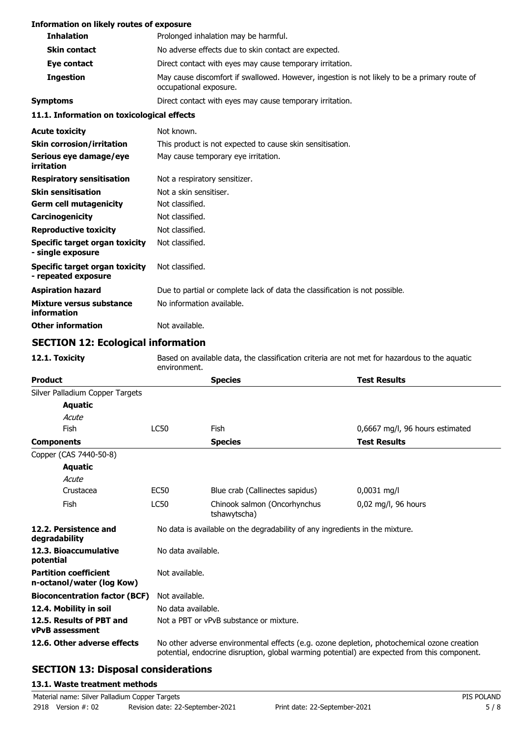| <b>Information on likely routes of exposure</b>       |                                                                                                                        |  |
|-------------------------------------------------------|------------------------------------------------------------------------------------------------------------------------|--|
| <b>Inhalation</b>                                     | Prolonged inhalation may be harmful.                                                                                   |  |
| <b>Skin contact</b>                                   | No adverse effects due to skin contact are expected.                                                                   |  |
| Eye contact                                           | Direct contact with eyes may cause temporary irritation.                                                               |  |
| <b>Ingestion</b>                                      | May cause discomfort if swallowed. However, ingestion is not likely to be a primary route of<br>occupational exposure. |  |
| <b>Symptoms</b>                                       | Direct contact with eyes may cause temporary irritation.                                                               |  |
| 11.1. Information on toxicological effects            |                                                                                                                        |  |
| <b>Acute toxicity</b>                                 | Not known.                                                                                                             |  |
| <b>Skin corrosion/irritation</b>                      | This product is not expected to cause skin sensitisation.                                                              |  |
| Serious eye damage/eye<br>irritation                  | May cause temporary eye irritation.                                                                                    |  |
| <b>Respiratory sensitisation</b>                      | Not a respiratory sensitizer.                                                                                          |  |
| <b>Skin sensitisation</b>                             | Not a skin sensitiser.                                                                                                 |  |
| <b>Germ cell mutagenicity</b>                         | Not classified.                                                                                                        |  |
| Carcinogenicity                                       | Not classified.                                                                                                        |  |
| <b>Reproductive toxicity</b>                          | Not classified.                                                                                                        |  |
| Specific target organ toxicity<br>- single exposure   | Not classified.                                                                                                        |  |
| Specific target organ toxicity<br>- repeated exposure | Not classified.                                                                                                        |  |
| <b>Aspiration hazard</b>                              | Due to partial or complete lack of data the classification is not possible.                                            |  |
| Mixture versus substance<br>information               | No information available.                                                                                              |  |
| <b>Other information</b>                              | Not available.                                                                                                         |  |

# **SECTION 12: Ecological information**

| 12.1. Toxicity                                            | Based on available data, the classification criteria are not met for hazardous to the aquatic<br>environment. |                                                                                                                                                                                            |                                 |  |
|-----------------------------------------------------------|---------------------------------------------------------------------------------------------------------------|--------------------------------------------------------------------------------------------------------------------------------------------------------------------------------------------|---------------------------------|--|
| <b>Product</b>                                            |                                                                                                               | <b>Species</b>                                                                                                                                                                             | <b>Test Results</b>             |  |
| Silver Palladium Copper Targets                           |                                                                                                               |                                                                                                                                                                                            |                                 |  |
| <b>Aquatic</b>                                            |                                                                                                               |                                                                                                                                                                                            |                                 |  |
| Acute                                                     |                                                                                                               |                                                                                                                                                                                            |                                 |  |
| Fish                                                      | <b>LC50</b>                                                                                                   | <b>Fish</b>                                                                                                                                                                                | 0,6667 mg/l, 96 hours estimated |  |
| <b>Components</b>                                         |                                                                                                               | <b>Species</b>                                                                                                                                                                             | <b>Test Results</b>             |  |
| Copper (CAS 7440-50-8)                                    |                                                                                                               |                                                                                                                                                                                            |                                 |  |
| <b>Aquatic</b>                                            |                                                                                                               |                                                                                                                                                                                            |                                 |  |
| Acute                                                     |                                                                                                               |                                                                                                                                                                                            |                                 |  |
| Crustacea                                                 | <b>EC50</b>                                                                                                   | Blue crab (Callinectes sapidus)                                                                                                                                                            | 0,0031 mg/l                     |  |
| Fish                                                      | <b>LC50</b>                                                                                                   | Chinook salmon (Oncorhynchus<br>tshawytscha)                                                                                                                                               | 0,02 mg/l, 96 hours             |  |
| 12.2. Persistence and<br>degradability                    |                                                                                                               | No data is available on the degradability of any ingredients in the mixture.                                                                                                               |                                 |  |
| 12.3. Bioaccumulative<br>potential                        | No data available.                                                                                            |                                                                                                                                                                                            |                                 |  |
| <b>Partition coefficient</b><br>n-octanol/water (log Kow) | Not available.                                                                                                |                                                                                                                                                                                            |                                 |  |
| <b>Bioconcentration factor (BCF)</b>                      | Not available.                                                                                                |                                                                                                                                                                                            |                                 |  |
| 12.4. Mobility in soil                                    |                                                                                                               | No data available.                                                                                                                                                                         |                                 |  |
| 12.5. Results of PBT and<br><b>vPvB</b> assessment        |                                                                                                               | Not a PBT or vPvB substance or mixture.                                                                                                                                                    |                                 |  |
| 12.6. Other adverse effects                               |                                                                                                               | No other adverse environmental effects (e.g. ozone depletion, photochemical ozone creation<br>potential, endocrine disruption, global warming potential) are expected from this component. |                                 |  |

# **SECTION 13: Disposal considerations**

## **13.1. Waste treatment methods**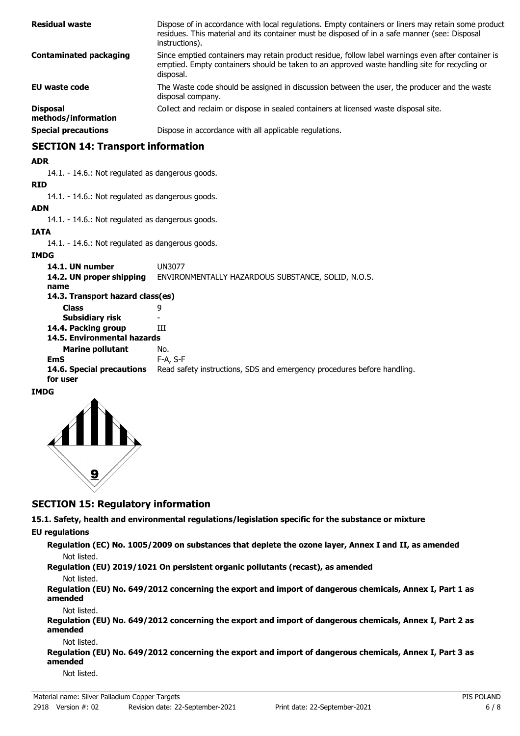| <b>Residual waste</b>                  | Dispose of in accordance with local regulations. Empty containers or liners may retain some product<br>residues. This material and its container must be disposed of in a safe manner (see: Disposal<br>instructions). |
|----------------------------------------|------------------------------------------------------------------------------------------------------------------------------------------------------------------------------------------------------------------------|
| <b>Contaminated packaging</b>          | Since emptied containers may retain product residue, follow label warnings even after container is<br>emptied. Empty containers should be taken to an approved waste handling site for recycling or<br>disposal.       |
| <b>EU waste code</b>                   | The Waste code should be assigned in discussion between the user, the producer and the waste<br>disposal company.                                                                                                      |
| <b>Disposal</b><br>methods/information | Collect and reclaim or dispose in sealed containers at licensed waste disposal site.                                                                                                                                   |
| <b>Special precautions</b>             | Dispose in accordance with all applicable regulations.                                                                                                                                                                 |

# **SECTION 14: Transport information**

#### **ADR**

14.1. - 14.6.: Not regulated as dangerous goods.

#### **RID**

14.1. - 14.6.: Not regulated as dangerous goods.

# **ADN**

14.1. - 14.6.: Not regulated as dangerous goods.

#### **IATA**

14.1. - 14.6.: Not regulated as dangerous goods.

#### **IMDG**

| 14.1. UN number<br>14.2. UN proper shipping<br>name                            | UN3077<br>ENVIRONMENTALLY HAZARDOUS SUBSTANCE, SOLID, N.O.S.                                 |
|--------------------------------------------------------------------------------|----------------------------------------------------------------------------------------------|
| 14.3. Transport hazard class(es)                                               |                                                                                              |
| <b>Class</b>                                                                   | 9                                                                                            |
| Subsidiary risk                                                                |                                                                                              |
| 14.4. Packing group                                                            | ĦТ                                                                                           |
| 14.5. Environmental hazards                                                    |                                                                                              |
| <b>Marine pollutant</b><br><b>EmS</b><br>14.6. Special precautions<br>for user | No.<br>$F-A, S-F$<br>Read safety instructions, SDS and emergency procedures before handling. |

## **IMDG**



# **SECTION 15: Regulatory information**

**15.1. Safety, health and environmental regulations/legislation specific for the substance or mixture**

# **EU regulations**

**Regulation (EC) No. 1005/2009 on substances that deplete the ozone layer, Annex I and II, as amended** Not listed.

**Regulation (EU) 2019/1021 On persistent organic pollutants (recast), as amended**

#### Not listed.

**Regulation (EU) No. 649/2012 concerning the export and import of dangerous chemicals, Annex I, Part 1 as amended**

#### Not listed.

**Regulation (EU) No. 649/2012 concerning the export and import of dangerous chemicals, Annex I, Part 2 as amended**

#### Not listed.

**Regulation (EU) No. 649/2012 concerning the export and import of dangerous chemicals, Annex I, Part 3 as amended**

Not listed.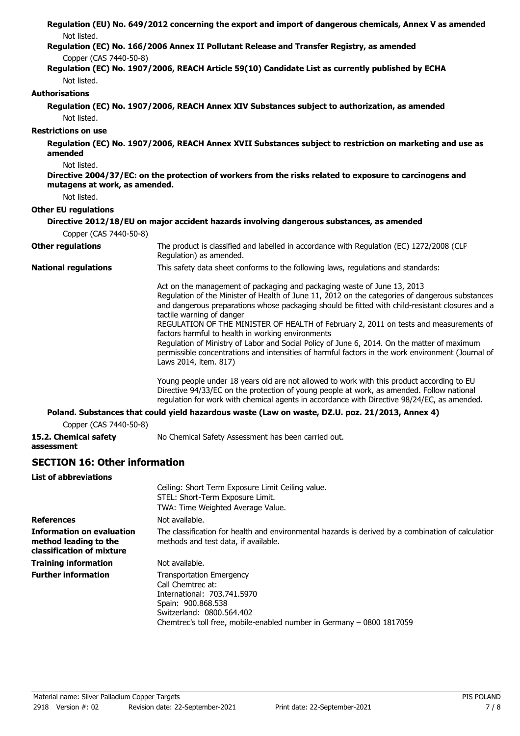| Not listed.                                  | Regulation (EU) No. 649/2012 concerning the export and import of dangerous chemicals, Annex V as amended                                                                                                                                                                                                                                                                                                                                                                                                                                                                                                                                                     |
|----------------------------------------------|--------------------------------------------------------------------------------------------------------------------------------------------------------------------------------------------------------------------------------------------------------------------------------------------------------------------------------------------------------------------------------------------------------------------------------------------------------------------------------------------------------------------------------------------------------------------------------------------------------------------------------------------------------------|
|                                              | Regulation (EC) No. 166/2006 Annex II Pollutant Release and Transfer Registry, as amended                                                                                                                                                                                                                                                                                                                                                                                                                                                                                                                                                                    |
| Copper (CAS 7440-50-8)<br>Not listed.        | Regulation (EC) No. 1907/2006, REACH Article 59(10) Candidate List as currently published by ECHA                                                                                                                                                                                                                                                                                                                                                                                                                                                                                                                                                            |
| <b>Authorisations</b>                        |                                                                                                                                                                                                                                                                                                                                                                                                                                                                                                                                                                                                                                                              |
| Not listed.                                  | Regulation (EC) No. 1907/2006, REACH Annex XIV Substances subject to authorization, as amended                                                                                                                                                                                                                                                                                                                                                                                                                                                                                                                                                               |
| <b>Restrictions on use</b>                   |                                                                                                                                                                                                                                                                                                                                                                                                                                                                                                                                                                                                                                                              |
| amended                                      | Regulation (EC) No. 1907/2006, REACH Annex XVII Substances subject to restriction on marketing and use as                                                                                                                                                                                                                                                                                                                                                                                                                                                                                                                                                    |
| Not listed.<br>mutagens at work, as amended. | Directive 2004/37/EC: on the protection of workers from the risks related to exposure to carcinogens and                                                                                                                                                                                                                                                                                                                                                                                                                                                                                                                                                     |
| Not listed.                                  |                                                                                                                                                                                                                                                                                                                                                                                                                                                                                                                                                                                                                                                              |
| <b>Other EU regulations</b>                  |                                                                                                                                                                                                                                                                                                                                                                                                                                                                                                                                                                                                                                                              |
|                                              | Directive 2012/18/EU on major accident hazards involving dangerous substances, as amended                                                                                                                                                                                                                                                                                                                                                                                                                                                                                                                                                                    |
| Copper (CAS 7440-50-8)                       |                                                                                                                                                                                                                                                                                                                                                                                                                                                                                                                                                                                                                                                              |
| <b>Other regulations</b>                     | The product is classified and labelled in accordance with Regulation (EC) 1272/2008 (CLP<br>Regulation) as amended.                                                                                                                                                                                                                                                                                                                                                                                                                                                                                                                                          |
| <b>National regulations</b>                  | This safety data sheet conforms to the following laws, regulations and standards:                                                                                                                                                                                                                                                                                                                                                                                                                                                                                                                                                                            |
|                                              | Act on the management of packaging and packaging waste of June 13, 2013<br>Regulation of the Minister of Health of June 11, 2012 on the categories of dangerous substances<br>and dangerous preparations whose packaging should be fitted with child-resistant closures and a<br>tactile warning of danger<br>REGULATION OF THE MINISTER OF HEALTH of February 2, 2011 on tests and measurements of<br>factors harmful to health in working environments<br>Regulation of Ministry of Labor and Social Policy of June 6, 2014. On the matter of maximum<br>permissible concentrations and intensities of harmful factors in the work environment (Journal of |
|                                              | Laws 2014, item. 817)                                                                                                                                                                                                                                                                                                                                                                                                                                                                                                                                                                                                                                        |
|                                              | Young people under 18 years old are not allowed to work with this product according to EU<br>Directive 94/33/EC on the protection of young people at work, as amended. Follow national<br>regulation for work with chemical agents in accordance with Directive 98/24/EC, as amended.                                                                                                                                                                                                                                                                                                                                                                        |
|                                              | Poland. Substances that could yield hazardous waste (Law on waste, DZ.U. poz. 21/2013, Annex 4)                                                                                                                                                                                                                                                                                                                                                                                                                                                                                                                                                              |
| Copper (CAS 7440-50-8)                       |                                                                                                                                                                                                                                                                                                                                                                                                                                                                                                                                                                                                                                                              |
| 15.2. Chemical safety<br>assessment          | No Chemical Safety Assessment has been carried out.                                                                                                                                                                                                                                                                                                                                                                                                                                                                                                                                                                                                          |

# **SECTION 16: Other information**

| <b>List of abbreviations</b>                                                           |                                                                                                                                                                                                                 |
|----------------------------------------------------------------------------------------|-----------------------------------------------------------------------------------------------------------------------------------------------------------------------------------------------------------------|
|                                                                                        | Ceiling: Short Term Exposure Limit Ceiling value.                                                                                                                                                               |
|                                                                                        | STEL: Short-Term Exposure Limit.                                                                                                                                                                                |
|                                                                                        | TWA: Time Weighted Average Value.                                                                                                                                                                               |
| <b>References</b>                                                                      | Not available.                                                                                                                                                                                                  |
| <b>Information on evaluation</b><br>method leading to the<br>classification of mixture | The classification for health and environmental hazards is derived by a combination of calculatior<br>methods and test data, if available.                                                                      |
| <b>Training information</b>                                                            | Not available.                                                                                                                                                                                                  |
| <b>Further information</b>                                                             | <b>Transportation Emergency</b><br>Call Chemtrec at:<br>International: 703.741.5970<br>Spain: 900.868.538<br>Switzerland: 0800.564.402<br>Chemtrec's toll free, mobile-enabled number in Germany – 0800 1817059 |